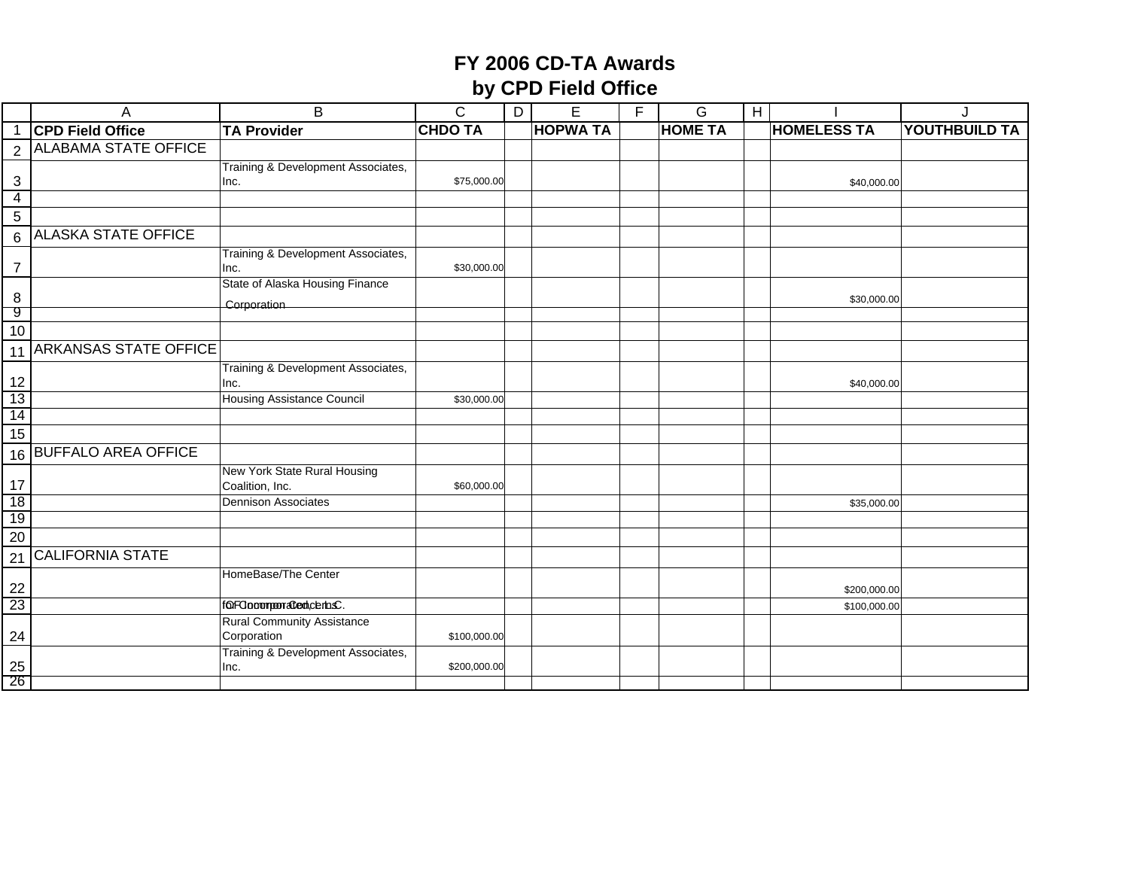|                 | A                            | B                                               | $\mathsf C$    | D | E               | F | G              | $\overline{H}$ |                    | J                    |
|-----------------|------------------------------|-------------------------------------------------|----------------|---|-----------------|---|----------------|----------------|--------------------|----------------------|
|                 | <b>CPD Field Office</b>      | <b>TA Provider</b>                              | <b>CHDO TA</b> |   | <b>HOPWA TA</b> |   | <b>HOME TA</b> |                | <b>HOMELESS TA</b> | <b>YOUTHBUILD TA</b> |
| $\overline{2}$  | <b>ALABAMA STATE OFFICE</b>  |                                                 |                |   |                 |   |                |                |                    |                      |
|                 |                              | Training & Development Associates,              |                |   |                 |   |                |                |                    |                      |
| 3               |                              | Inc.                                            | \$75,000.00    |   |                 |   |                |                | \$40,000.00        |                      |
| $\overline{4}$  |                              |                                                 |                |   |                 |   |                |                |                    |                      |
| 5               |                              |                                                 |                |   |                 |   |                |                |                    |                      |
| 6               | <b>ALASKA STATE OFFICE</b>   |                                                 |                |   |                 |   |                |                |                    |                      |
| 7               |                              | Training & Development Associates,<br>Inc.      | \$30,000.00    |   |                 |   |                |                |                    |                      |
|                 |                              | State of Alaska Housing Finance                 |                |   |                 |   |                |                |                    |                      |
| 8<br>9          |                              | Corporation                                     |                |   |                 |   |                |                | \$30,000.00        |                      |
| 10              |                              |                                                 |                |   |                 |   |                |                |                    |                      |
| 11              | <b>ARKANSAS STATE OFFICE</b> |                                                 |                |   |                 |   |                |                |                    |                      |
|                 |                              | Training & Development Associates,              |                |   |                 |   |                |                |                    |                      |
| 12              |                              | Inc.                                            |                |   |                 |   |                |                | \$40,000.00        |                      |
| 13              |                              | <b>Housing Assistance Council</b>               | \$30,000.00    |   |                 |   |                |                |                    |                      |
| 14              |                              |                                                 |                |   |                 |   |                |                |                    |                      |
| 15              |                              |                                                 |                |   |                 |   |                |                |                    |                      |
|                 | 16 BUFFALO AREA OFFICE       |                                                 |                |   |                 |   |                |                |                    |                      |
| 17              |                              | New York State Rural Housing<br>Coalition, Inc. | \$60,000.00    |   |                 |   |                |                |                    |                      |
| 18              |                              | <b>Dennison Associates</b>                      |                |   |                 |   |                |                | \$35,000.00        |                      |
| 19              |                              |                                                 |                |   |                 |   |                |                |                    |                      |
| 20              |                              |                                                 |                |   |                 |   |                |                |                    |                      |
| 21              | <b>CALIFORNIA STATE</b>      |                                                 |                |   |                 |   |                |                |                    |                      |
| 22              |                              | HomeBase/The Center                             |                |   |                 |   |                |                | \$200,000.00       |                      |
| 23              |                              | forFOocomporated;cerbsC.                        |                |   |                 |   |                |                | \$100,000.00       |                      |
|                 |                              | <b>Rural Community Assistance</b>               |                |   |                 |   |                |                |                    |                      |
| 24              |                              | Corporation                                     | \$100,000.00   |   |                 |   |                |                |                    |                      |
|                 |                              | Training & Development Associates,              |                |   |                 |   |                |                |                    |                      |
| $\frac{25}{26}$ |                              | Inc.                                            | \$200,000.00   |   |                 |   |                |                |                    |                      |
|                 |                              |                                                 |                |   |                 |   |                |                |                    |                      |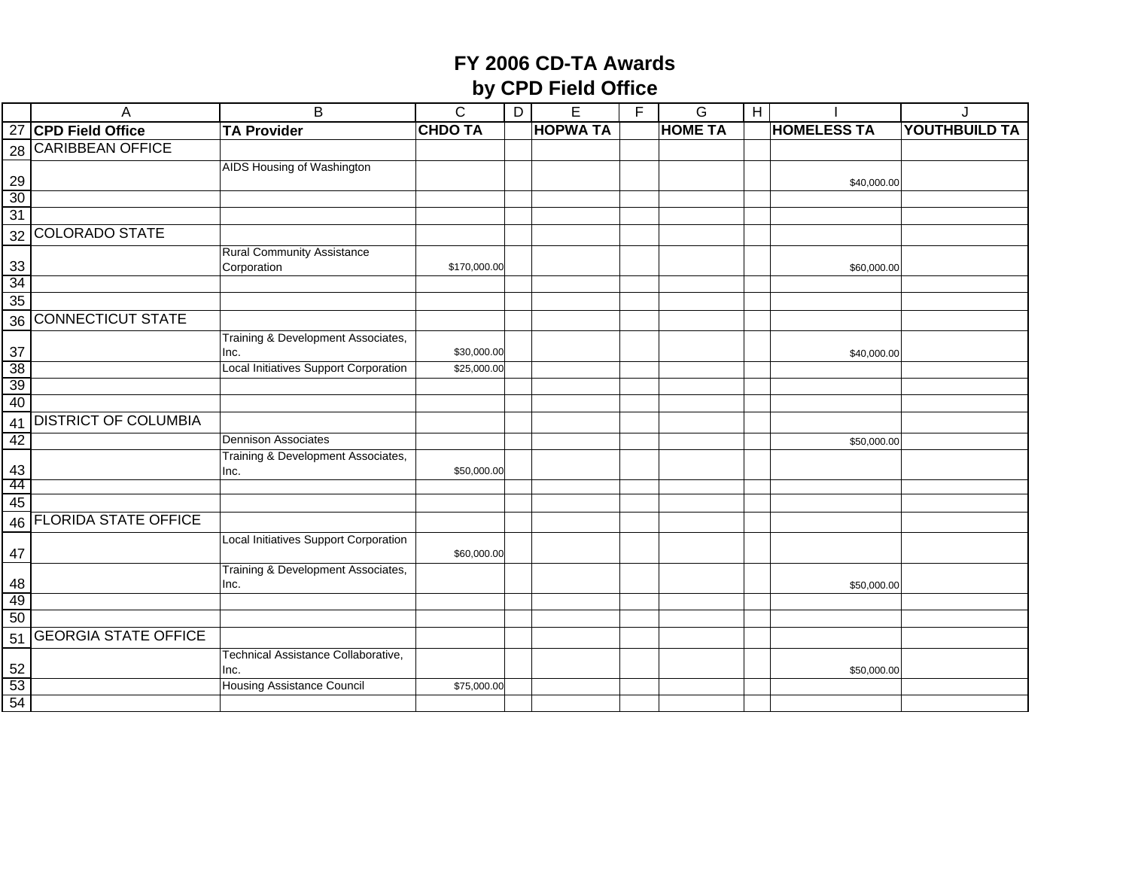|           | Α                           | B                                            | $\overline{C}$ | D | $\overline{E}$  | F | G              | $\bf{H}$ |                    | J             |
|-----------|-----------------------------|----------------------------------------------|----------------|---|-----------------|---|----------------|----------|--------------------|---------------|
|           | 27 CPD Field Office         | <b>TA Provider</b>                           | <b>CHDO TA</b> |   | <b>HOPWA TA</b> |   | <b>HOME TA</b> |          | <b>HOMELESS TA</b> | YOUTHBUILD TA |
|           | 28 CARIBBEAN OFFICE         |                                              |                |   |                 |   |                |          |                    |               |
|           |                             | AIDS Housing of Washington                   |                |   |                 |   |                |          |                    |               |
| 29        |                             |                                              |                |   |                 |   |                |          | \$40,000.00        |               |
| 30        |                             |                                              |                |   |                 |   |                |          |                    |               |
| 31        |                             |                                              |                |   |                 |   |                |          |                    |               |
| 32        | <b>COLORADO STATE</b>       |                                              |                |   |                 |   |                |          |                    |               |
|           |                             | <b>Rural Community Assistance</b>            |                |   |                 |   |                |          |                    |               |
| 33<br>34  |                             | Corporation                                  | \$170,000.00   |   |                 |   |                |          | \$60,000.00        |               |
| 35        |                             |                                              |                |   |                 |   |                |          |                    |               |
|           | 36 CONNECTICUT STATE        |                                              |                |   |                 |   |                |          |                    |               |
|           |                             | Training & Development Associates,           |                |   |                 |   |                |          |                    |               |
| 37        |                             | Inc.                                         | \$30,000.00    |   |                 |   |                |          | \$40,000.00        |               |
| 38        |                             | <b>Local Initiatives Support Corporation</b> | \$25,000.00    |   |                 |   |                |          |                    |               |
| 39        |                             |                                              |                |   |                 |   |                |          |                    |               |
| 40        |                             |                                              |                |   |                 |   |                |          |                    |               |
| 41        | <b>DISTRICT OF COLUMBIA</b> |                                              |                |   |                 |   |                |          |                    |               |
| 42        |                             | <b>Dennison Associates</b>                   |                |   |                 |   |                |          | \$50,000.00        |               |
|           |                             | Training & Development Associates,           |                |   |                 |   |                |          |                    |               |
| 43        |                             | Inc.                                         | \$50,000.00    |   |                 |   |                |          |                    |               |
| -44<br>45 |                             |                                              |                |   |                 |   |                |          |                    |               |
|           | <b>FLORIDA STATE OFFICE</b> |                                              |                |   |                 |   |                |          |                    |               |
| 46        |                             | Local Initiatives Support Corporation        |                |   |                 |   |                |          |                    |               |
| 47        |                             |                                              | \$60,000.00    |   |                 |   |                |          |                    |               |
|           |                             | Training & Development Associates,           |                |   |                 |   |                |          |                    |               |
| 48        |                             | Inc.                                         |                |   |                 |   |                |          | \$50,000.00        |               |
| 49        |                             |                                              |                |   |                 |   |                |          |                    |               |
| 50        |                             |                                              |                |   |                 |   |                |          |                    |               |
| 51        | <b>GEORGIA STATE OFFICE</b> |                                              |                |   |                 |   |                |          |                    |               |
| 52        |                             | Technical Assistance Collaborative,<br>Inc.  |                |   |                 |   |                |          | \$50,000.00        |               |
| 53        |                             | <b>Housing Assistance Council</b>            | \$75,000.00    |   |                 |   |                |          |                    |               |
| 54        |                             |                                              |                |   |                 |   |                |          |                    |               |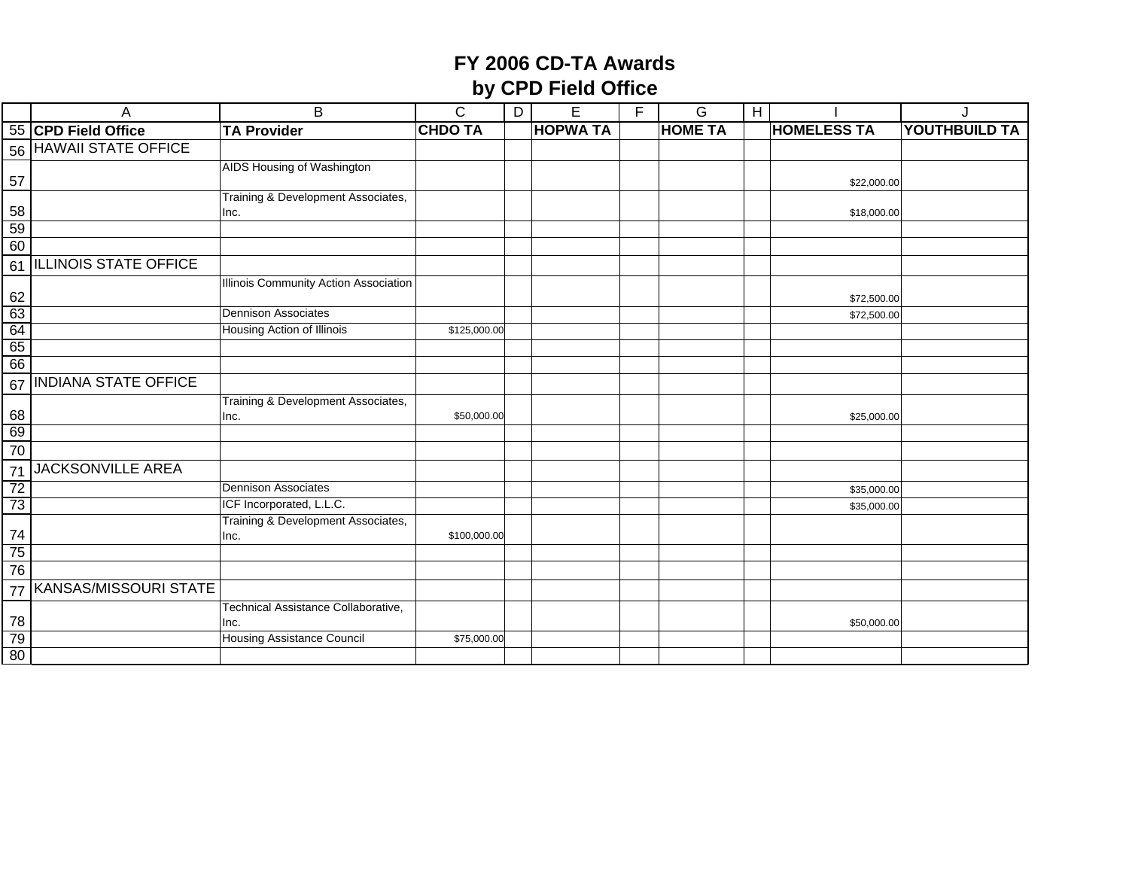|                 | Α                           | $\overline{B}$                              | $\mathsf{C}$   | $\overline{D}$ | $\overline{E}$  | F | G              | $\overline{1}$ |                    |                      |
|-----------------|-----------------------------|---------------------------------------------|----------------|----------------|-----------------|---|----------------|----------------|--------------------|----------------------|
|                 | 55 CPD Field Office         | <b>TA Provider</b>                          | <b>CHDO TA</b> |                | <b>HOPWA TA</b> |   | <b>HOME TA</b> |                | <b>HOMELESS TA</b> | <b>YOUTHBUILD TA</b> |
|                 | 56 HAWAII STATE OFFICE      |                                             |                |                |                 |   |                |                |                    |                      |
|                 |                             | AIDS Housing of Washington                  |                |                |                 |   |                |                |                    |                      |
| 57              |                             |                                             |                |                |                 |   |                |                | \$22,000.00        |                      |
|                 |                             | Training & Development Associates,          |                |                |                 |   |                |                |                    |                      |
| 58<br>59        |                             | Inc.                                        |                |                |                 |   |                |                | \$18,000.00        |                      |
| 60              |                             |                                             |                |                |                 |   |                |                |                    |                      |
|                 | 61 ILLINOIS STATE OFFICE    |                                             |                |                |                 |   |                |                |                    |                      |
|                 |                             | Illinois Community Action Association       |                |                |                 |   |                |                |                    |                      |
| 62              |                             |                                             |                |                |                 |   |                |                | \$72,500.00        |                      |
|                 |                             | <b>Dennison Associates</b>                  |                |                |                 |   |                |                | \$72,500.00        |                      |
| $\frac{63}{64}$ |                             | Housing Action of Illinois                  | \$125,000.00   |                |                 |   |                |                |                    |                      |
| 65              |                             |                                             |                |                |                 |   |                |                |                    |                      |
| 66              |                             |                                             |                |                |                 |   |                |                |                    |                      |
| 67              | <b>INDIANA STATE OFFICE</b> |                                             |                |                |                 |   |                |                |                    |                      |
|                 |                             | Training & Development Associates,          |                |                |                 |   |                |                |                    |                      |
| 68              |                             | Inc.                                        | \$50,000.00    |                |                 |   |                |                | \$25,000.00        |                      |
| 69              |                             |                                             |                |                |                 |   |                |                |                    |                      |
| 70              |                             |                                             |                |                |                 |   |                |                |                    |                      |
| 71              | JACKSONVILLE AREA           |                                             |                |                |                 |   |                |                |                    |                      |
| 72              |                             | <b>Dennison Associates</b>                  |                |                |                 |   |                |                | \$35,000.00        |                      |
| 73              |                             | ICF Incorporated, L.L.C.                    |                |                |                 |   |                |                | \$35,000.00        |                      |
|                 |                             | Training & Development Associates,          |                |                |                 |   |                |                |                    |                      |
| 74<br>75        |                             | Inc.                                        | \$100,000.00   |                |                 |   |                |                |                    |                      |
| 76              |                             |                                             |                |                |                 |   |                |                |                    |                      |
|                 |                             |                                             |                |                |                 |   |                |                |                    |                      |
| 77              | KANSAS/MISSOURI STATE       |                                             |                |                |                 |   |                |                |                    |                      |
| 78              |                             | Technical Assistance Collaborative,<br>Inc. |                |                |                 |   |                |                | \$50,000.00        |                      |
| 79              |                             | Housing Assistance Council                  | \$75,000.00    |                |                 |   |                |                |                    |                      |
| 80              |                             |                                             |                |                |                 |   |                |                |                    |                      |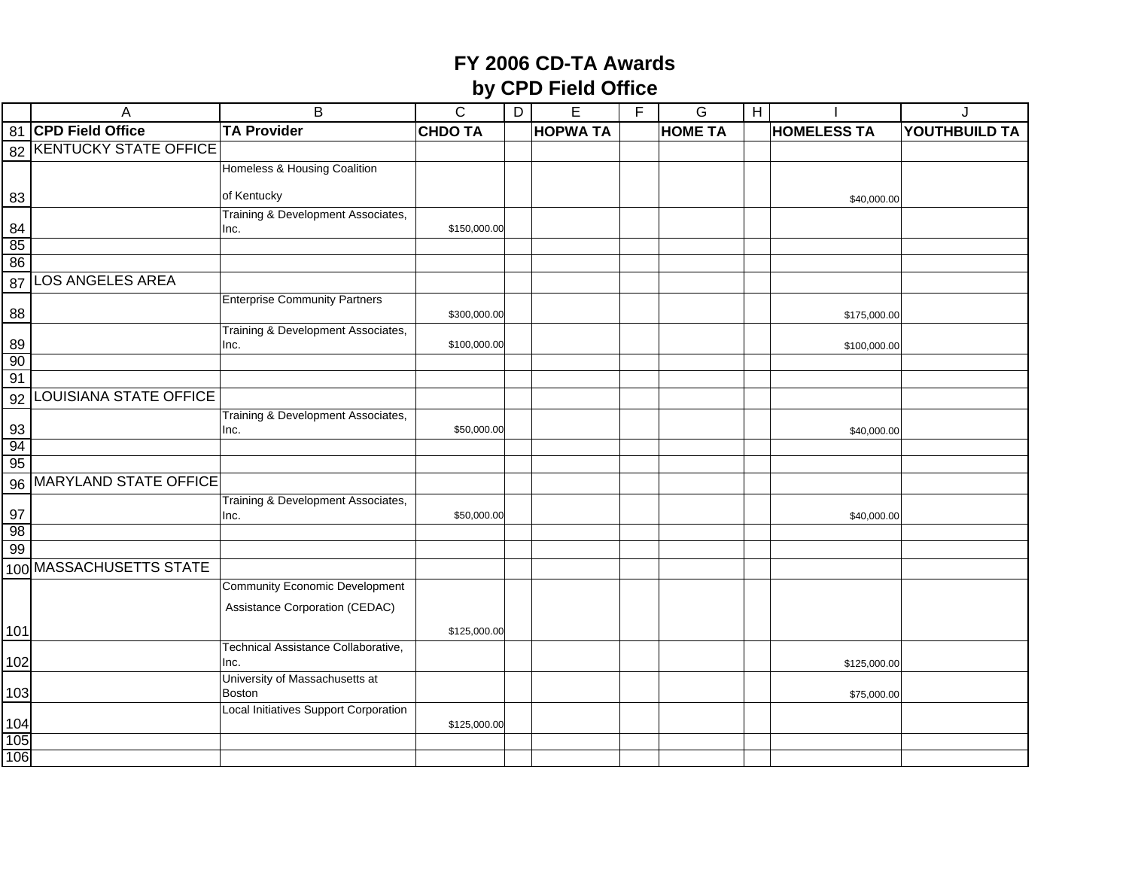|          | A                        | B                                            | $\overline{C}$ | $\overline{D}$ | $\overline{E}$  | $\overline{F}$ | $\overline{G}$ | $\bf{H}$ |                    |               |
|----------|--------------------------|----------------------------------------------|----------------|----------------|-----------------|----------------|----------------|----------|--------------------|---------------|
|          | 81 CPD Field Office      | <b>TA Provider</b>                           | <b>CHDO TA</b> |                | <b>HOPWA TA</b> |                | <b>HOME TA</b> |          | <b>HOMELESS TA</b> | YOUTHBUILD TA |
|          | 82 KENTUCKY STATE OFFICE |                                              |                |                |                 |                |                |          |                    |               |
|          |                          | Homeless & Housing Coalition                 |                |                |                 |                |                |          |                    |               |
| 83       |                          | of Kentucky                                  |                |                |                 |                |                |          |                    |               |
|          |                          | Training & Development Associates,           |                |                |                 |                |                |          | \$40,000.00        |               |
| 84       |                          | Inc.                                         | \$150,000.00   |                |                 |                |                |          |                    |               |
| 85       |                          |                                              |                |                |                 |                |                |          |                    |               |
| 86       |                          |                                              |                |                |                 |                |                |          |                    |               |
| 87       | LOS ANGELES AREA         |                                              |                |                |                 |                |                |          |                    |               |
|          |                          | <b>Enterprise Community Partners</b>         |                |                |                 |                |                |          |                    |               |
| 88       |                          |                                              | \$300,000.00   |                |                 |                |                |          | \$175,000.00       |               |
| 89       |                          | Training & Development Associates,<br>Inc.   | \$100,000.00   |                |                 |                |                |          | \$100,000.00       |               |
| 90       |                          |                                              |                |                |                 |                |                |          |                    |               |
| 91       |                          |                                              |                |                |                 |                |                |          |                    |               |
| 92       | LOUISIANA STATE OFFICE   |                                              |                |                |                 |                |                |          |                    |               |
|          |                          | Training & Development Associates,           |                |                |                 |                |                |          |                    |               |
| 93       |                          | Inc.                                         | \$50,000.00    |                |                 |                |                |          | \$40,000.00        |               |
| 94       |                          |                                              |                |                |                 |                |                |          |                    |               |
| 95       |                          |                                              |                |                |                 |                |                |          |                    |               |
|          | 96 MARYLAND STATE OFFICE |                                              |                |                |                 |                |                |          |                    |               |
|          |                          | Training & Development Associates,           |                |                |                 |                |                |          |                    |               |
| 97       |                          | Inc.                                         | \$50,000.00    |                |                 |                |                |          | \$40,000.00        |               |
| 98<br>99 |                          |                                              |                |                |                 |                |                |          |                    |               |
|          | 100 MASSACHUSETTS STATE  |                                              |                |                |                 |                |                |          |                    |               |
|          |                          | <b>Community Economic Development</b>        |                |                |                 |                |                |          |                    |               |
|          |                          |                                              |                |                |                 |                |                |          |                    |               |
|          |                          | Assistance Corporation (CEDAC)               |                |                |                 |                |                |          |                    |               |
| 101      |                          |                                              | \$125,000.00   |                |                 |                |                |          |                    |               |
|          |                          | Technical Assistance Collaborative,          |                |                |                 |                |                |          |                    |               |
| 102      |                          | Inc.<br>University of Massachusetts at       |                |                |                 |                |                |          | \$125,000.00       |               |
| 103      |                          | Boston                                       |                |                |                 |                |                |          | \$75,000.00        |               |
|          |                          | <b>Local Initiatives Support Corporation</b> |                |                |                 |                |                |          |                    |               |
| 104      |                          |                                              | \$125,000.00   |                |                 |                |                |          |                    |               |
| 105      |                          |                                              |                |                |                 |                |                |          |                    |               |
| 106      |                          |                                              |                |                |                 |                |                |          |                    |               |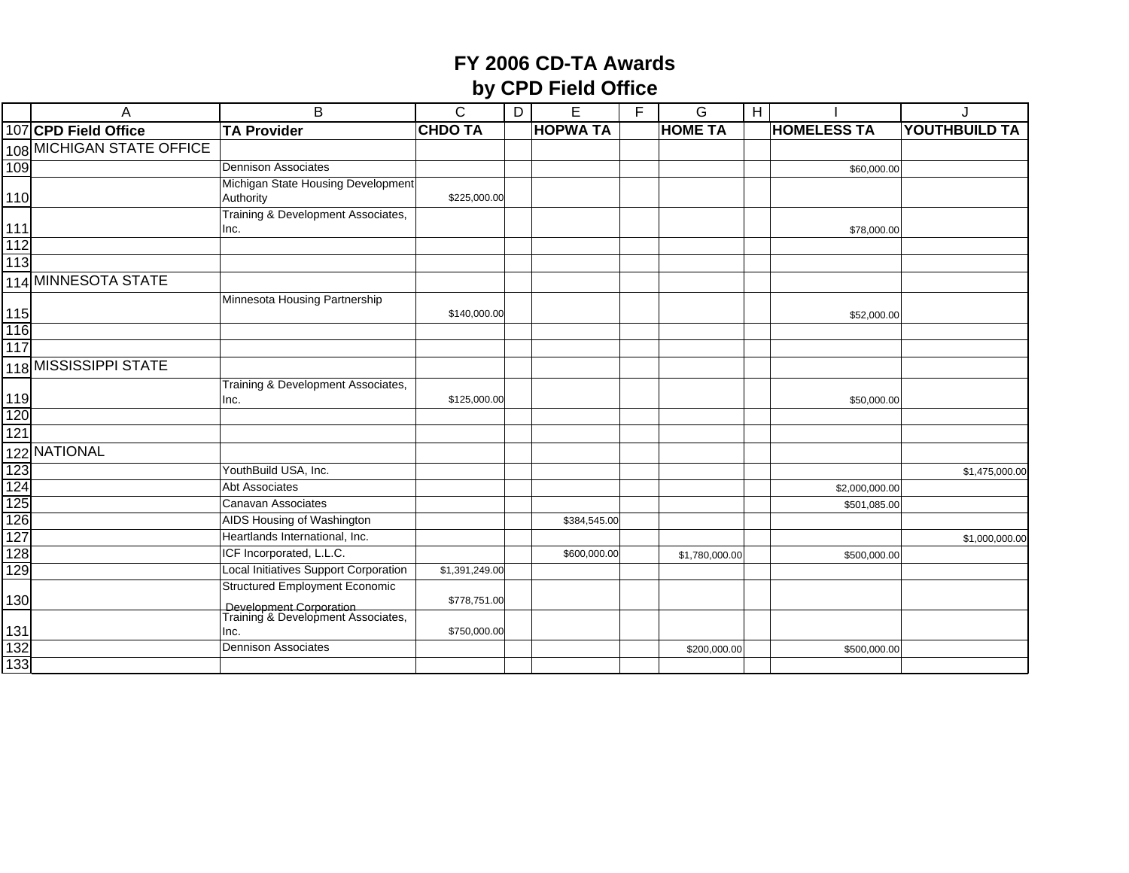|            | A                         | B                                                             | $\mathsf{C}$   | D | E               | F. | G              | H |                    |                |
|------------|---------------------------|---------------------------------------------------------------|----------------|---|-----------------|----|----------------|---|--------------------|----------------|
|            | 107 CPD Field Office      | <b>TA Provider</b>                                            | <b>CHDO TA</b> |   | <b>HOPWA TA</b> |    | <b>HOME TA</b> |   | <b>HOMELESS TA</b> | YOUTHBUILD TA  |
|            | 108 MICHIGAN STATE OFFICE |                                                               |                |   |                 |    |                |   |                    |                |
| 109        |                           | Dennison Associates                                           |                |   |                 |    |                |   | \$60,000.00        |                |
|            |                           | Michigan State Housing Development                            |                |   |                 |    |                |   |                    |                |
| 110        |                           | Authority                                                     | \$225,000.00   |   |                 |    |                |   |                    |                |
|            |                           | Training & Development Associates,                            |                |   |                 |    |                |   |                    |                |
| 111        |                           | Inc.                                                          |                |   |                 |    |                |   | \$78,000.00        |                |
| 112<br>113 |                           |                                                               |                |   |                 |    |                |   |                    |                |
|            |                           |                                                               |                |   |                 |    |                |   |                    |                |
|            | 114 MINNESOTA STATE       |                                                               |                |   |                 |    |                |   |                    |                |
|            |                           | Minnesota Housing Partnership                                 |                |   |                 |    |                |   |                    |                |
| 115<br>116 |                           |                                                               | \$140,000.00   |   |                 |    |                |   | \$52,000.00        |                |
| 117        |                           |                                                               |                |   |                 |    |                |   |                    |                |
|            |                           |                                                               |                |   |                 |    |                |   |                    |                |
|            | 118 MISSISSIPPI STATE     |                                                               |                |   |                 |    |                |   |                    |                |
|            |                           | Training & Development Associates,                            |                |   |                 |    |                |   |                    |                |
| 119<br>120 |                           | Inc.                                                          | \$125,000.00   |   |                 |    |                |   | \$50,000.00        |                |
| 121        |                           |                                                               |                |   |                 |    |                |   |                    |                |
|            |                           |                                                               |                |   |                 |    |                |   |                    |                |
|            | 122 NATIONAL              |                                                               |                |   |                 |    |                |   |                    |                |
| 123        |                           | YouthBuild USA, Inc.                                          |                |   |                 |    |                |   |                    | \$1,475,000.00 |
| 124        |                           | <b>Abt Associates</b>                                         |                |   |                 |    |                |   | \$2,000,000.00     |                |
| 125        |                           | Canavan Associates                                            |                |   |                 |    |                |   | \$501,085.00       |                |
| 126<br>127 |                           | AIDS Housing of Washington<br>Heartlands International, Inc.  |                |   | \$384,545.00    |    |                |   |                    |                |
|            |                           | ICF Incorporated, L.L.C.                                      |                |   |                 |    |                |   |                    | \$1,000,000.00 |
| 128<br>129 |                           | Local Initiatives Support Corporation                         | \$1,391,249.00 |   | \$600,000.00    |    | \$1,780,000.00 |   | \$500,000.00       |                |
|            |                           | <b>Structured Employment Economic</b>                         |                |   |                 |    |                |   |                    |                |
| 130        |                           |                                                               | \$778,751.00   |   |                 |    |                |   |                    |                |
|            |                           | Development Corporation<br>Training & Development Associates, |                |   |                 |    |                |   |                    |                |
| 131        |                           | Inc.                                                          | \$750,000.00   |   |                 |    |                |   |                    |                |
| 132        |                           | <b>Dennison Associates</b>                                    |                |   |                 |    | \$200,000.00   |   | \$500,000.00       |                |
| 133        |                           |                                                               |                |   |                 |    |                |   |                    |                |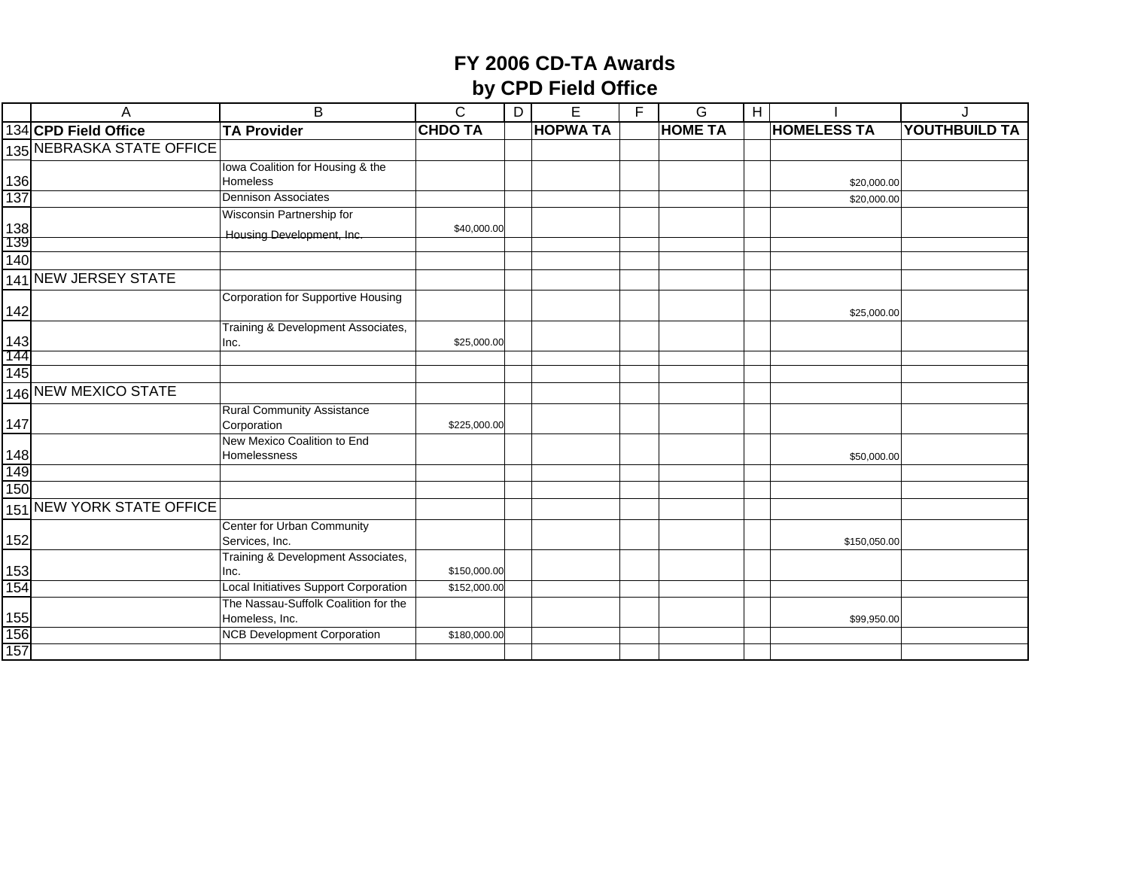|                   | A                         | B                                                      | $\overline{C}$ | D | E               | F | G              | $\overline{1}$ |                    |                      |
|-------------------|---------------------------|--------------------------------------------------------|----------------|---|-----------------|---|----------------|----------------|--------------------|----------------------|
|                   | 134 CPD Field Office      | <b>TA Provider</b>                                     | <b>CHDO TA</b> |   | <b>HOPWA TA</b> |   | <b>HOME TA</b> |                | <b>HOMELESS TA</b> | <b>YOUTHBUILD TA</b> |
|                   | 135 NEBRASKA STATE OFFICE |                                                        |                |   |                 |   |                |                |                    |                      |
|                   |                           | Iowa Coalition for Housing & the                       |                |   |                 |   |                |                |                    |                      |
| 136               |                           | <b>Homeless</b>                                        |                |   |                 |   |                |                | \$20,000.00        |                      |
| 137               |                           | <b>Dennison Associates</b>                             |                |   |                 |   |                |                | \$20,000.00        |                      |
|                   |                           | Wisconsin Partnership for                              |                |   |                 |   |                |                |                    |                      |
| 138<br>139        |                           | Housing Development, Inc.                              | \$40,000.00    |   |                 |   |                |                |                    |                      |
| 140               |                           |                                                        |                |   |                 |   |                |                |                    |                      |
|                   |                           |                                                        |                |   |                 |   |                |                |                    |                      |
|                   | 141 NEW JERSEY STATE      |                                                        |                |   |                 |   |                |                |                    |                      |
| 142               |                           | Corporation for Supportive Housing                     |                |   |                 |   |                |                | \$25,000.00        |                      |
|                   |                           | Training & Development Associates,                     |                |   |                 |   |                |                |                    |                      |
| $\frac{143}{144}$ |                           | Inc.                                                   | \$25,000.00    |   |                 |   |                |                |                    |                      |
|                   |                           |                                                        |                |   |                 |   |                |                |                    |                      |
| 145               |                           |                                                        |                |   |                 |   |                |                |                    |                      |
|                   | 146 NEW MEXICO STATE      |                                                        |                |   |                 |   |                |                |                    |                      |
| 147               |                           | <b>Rural Community Assistance</b><br>Corporation       | \$225,000.00   |   |                 |   |                |                |                    |                      |
| 148               |                           | New Mexico Coalition to End<br>Homelessness            |                |   |                 |   |                |                | \$50,000.00        |                      |
| 149               |                           |                                                        |                |   |                 |   |                |                |                    |                      |
| 150               |                           |                                                        |                |   |                 |   |                |                |                    |                      |
|                   | 151 NEW YORK STATE OFFICE |                                                        |                |   |                 |   |                |                |                    |                      |
| 152               |                           | Center for Urban Community<br>Services, Inc.           |                |   |                 |   |                |                | \$150,050.00       |                      |
| 153               |                           | Training & Development Associates,<br>Inc.             | \$150,000.00   |   |                 |   |                |                |                    |                      |
| 154               |                           | <b>Local Initiatives Support Corporation</b>           | \$152,000.00   |   |                 |   |                |                |                    |                      |
| 155               |                           | The Nassau-Suffolk Coalition for the<br>Homeless, Inc. |                |   |                 |   |                |                | \$99,950.00        |                      |
| 156               |                           | <b>NCB Development Corporation</b>                     | \$180,000.00   |   |                 |   |                |                |                    |                      |
| 157               |                           |                                                        |                |   |                 |   |                |                |                    |                      |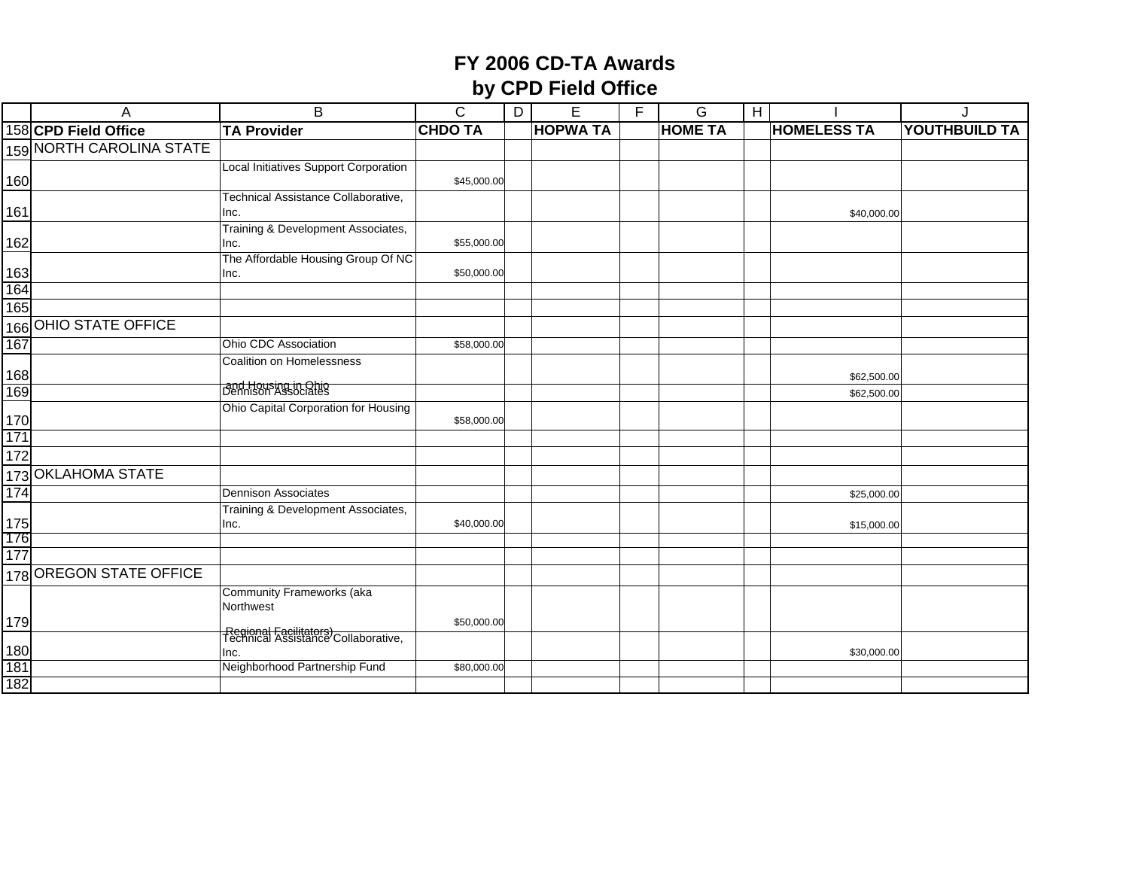|                   | A                        | B                                                             | C              | D | E               | F | G              | H |                    | J                    |
|-------------------|--------------------------|---------------------------------------------------------------|----------------|---|-----------------|---|----------------|---|--------------------|----------------------|
|                   | 158 CPD Field Office     | <b>TA Provider</b>                                            | <b>CHDO TA</b> |   | <b>HOPWA TA</b> |   | <b>HOME TA</b> |   | <b>HOMELESS TA</b> | <b>YOUTHBUILD TA</b> |
|                   | 159 NORTH CAROLINA STATE |                                                               |                |   |                 |   |                |   |                    |                      |
|                   |                          | <b>Local Initiatives Support Corporation</b>                  |                |   |                 |   |                |   |                    |                      |
| 160               |                          |                                                               | \$45,000.00    |   |                 |   |                |   |                    |                      |
|                   |                          | Technical Assistance Collaborative,                           |                |   |                 |   |                |   |                    |                      |
| 161               |                          | Inc.<br>Training & Development Associates,                    |                |   |                 |   |                |   | \$40,000.00        |                      |
| 162               |                          | Inc.                                                          | \$55,000.00    |   |                 |   |                |   |                    |                      |
|                   |                          | The Affordable Housing Group Of NC                            |                |   |                 |   |                |   |                    |                      |
| 163               |                          | Inc.                                                          | \$50,000.00    |   |                 |   |                |   |                    |                      |
| 164               |                          |                                                               |                |   |                 |   |                |   |                    |                      |
| 165               |                          |                                                               |                |   |                 |   |                |   |                    |                      |
|                   | 166 OHIO STATE OFFICE    |                                                               |                |   |                 |   |                |   |                    |                      |
| 167               |                          | Ohio CDC Association                                          | \$58,000.00    |   |                 |   |                |   |                    |                      |
|                   |                          | Coalition on Homelessness                                     |                |   |                 |   |                |   |                    |                      |
| 168               |                          | and Housing in Ohio                                           |                |   |                 |   |                |   | \$62,500.00        |                      |
| 169               |                          | Ohio Capital Corporation for Housing                          |                |   |                 |   |                |   | \$62,500.00        |                      |
|                   |                          |                                                               | \$58,000.00    |   |                 |   |                |   |                    |                      |
| 170<br>171        |                          |                                                               |                |   |                 |   |                |   |                    |                      |
| 172               |                          |                                                               |                |   |                 |   |                |   |                    |                      |
|                   | 173 OKLAHOMA STATE       |                                                               |                |   |                 |   |                |   |                    |                      |
| 174               |                          | <b>Dennison Associates</b>                                    |                |   |                 |   |                |   | \$25,000.00        |                      |
|                   |                          | Training & Development Associates,                            |                |   |                 |   |                |   |                    |                      |
| $\frac{175}{176}$ |                          | Inc.                                                          | \$40,000.00    |   |                 |   |                |   | \$15,000.00        |                      |
| 177               |                          |                                                               |                |   |                 |   |                |   |                    |                      |
|                   |                          |                                                               |                |   |                 |   |                |   |                    |                      |
|                   | 178 OREGON STATE OFFICE  |                                                               |                |   |                 |   |                |   |                    |                      |
|                   |                          | Community Frameworks (aka<br>Northwest                        |                |   |                 |   |                |   |                    |                      |
| 179               |                          |                                                               | \$50,000.00    |   |                 |   |                |   |                    |                      |
|                   |                          | Regional Facilitators)<br>Technical Assistance Collaborative, |                |   |                 |   |                |   |                    |                      |
| $\frac{180}{181}$ |                          | Inc.                                                          |                |   |                 |   |                |   | \$30,000.00        |                      |
|                   |                          | Neighborhood Partnership Fund                                 | \$80,000.00    |   |                 |   |                |   |                    |                      |
| 182               |                          |                                                               |                |   |                 |   |                |   |                    |                      |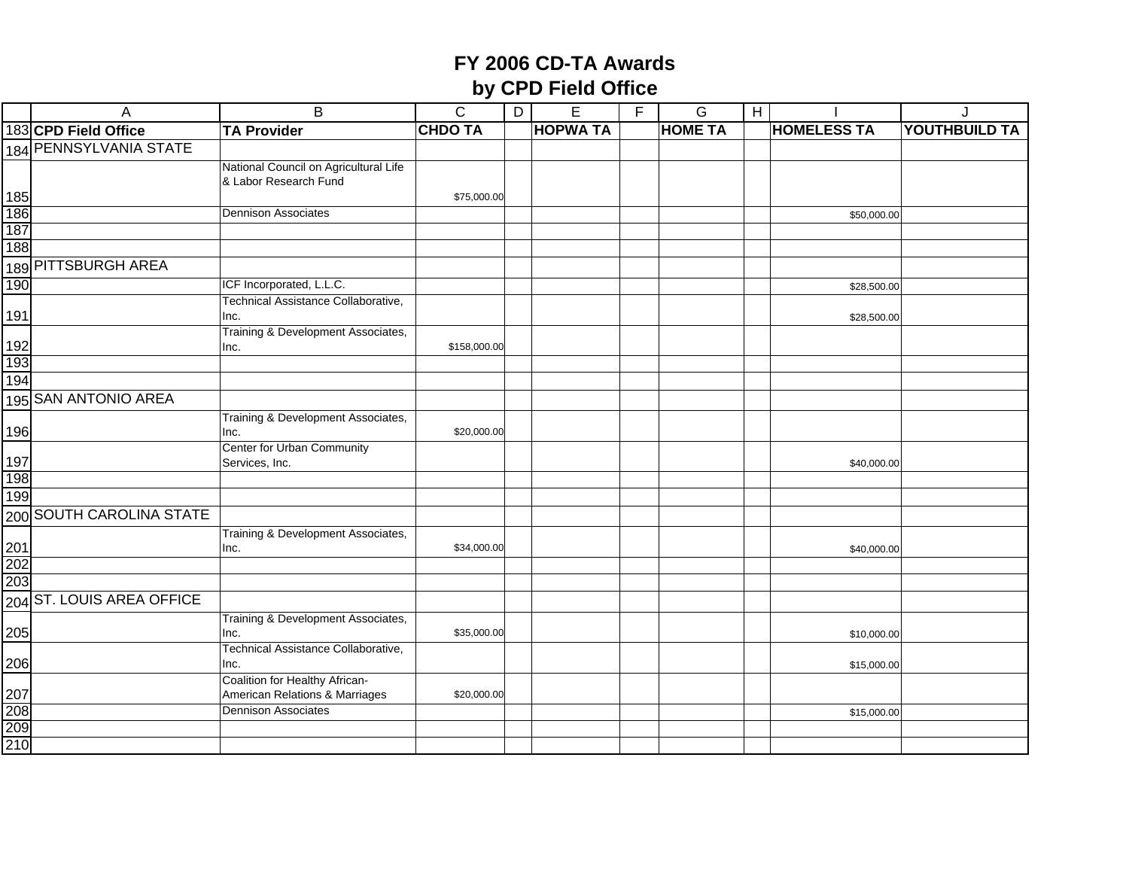|                   | A                                | $\overline{B}$                                                   | $\mathsf C$    | D | $\overline{E}$  | F | G              | H |                    |                      |
|-------------------|----------------------------------|------------------------------------------------------------------|----------------|---|-----------------|---|----------------|---|--------------------|----------------------|
|                   | 183 CPD Field Office             | <b>TA Provider</b>                                               | <b>CHDO TA</b> |   | <b>HOPWA TA</b> |   | <b>HOME TA</b> |   | <b>HOMELESS TA</b> | <b>YOUTHBUILD TA</b> |
|                   | 184 PENNSYLVANIA STATE           |                                                                  |                |   |                 |   |                |   |                    |                      |
|                   |                                  | National Council on Agricultural Life                            |                |   |                 |   |                |   |                    |                      |
|                   |                                  | & Labor Research Fund                                            |                |   |                 |   |                |   |                    |                      |
| $\frac{185}{186}$ |                                  |                                                                  | \$75,000.00    |   |                 |   |                |   |                    |                      |
|                   |                                  | <b>Dennison Associates</b>                                       |                |   |                 |   |                |   | \$50,000.00        |                      |
| 187               |                                  |                                                                  |                |   |                 |   |                |   |                    |                      |
| 188               |                                  |                                                                  |                |   |                 |   |                |   |                    |                      |
|                   | 189 PITTSBURGH AREA              |                                                                  |                |   |                 |   |                |   |                    |                      |
| 190               |                                  | ICF Incorporated, L.L.C.                                         |                |   |                 |   |                |   | \$28,500.00        |                      |
|                   |                                  | Technical Assistance Collaborative,                              |                |   |                 |   |                |   |                    |                      |
| 191               |                                  | Inc.                                                             |                |   |                 |   |                |   | \$28,500.00        |                      |
|                   |                                  | Training & Development Associates,                               |                |   |                 |   |                |   |                    |                      |
| $\frac{192}{193}$ |                                  | Inc.                                                             | \$158,000.00   |   |                 |   |                |   |                    |                      |
|                   |                                  |                                                                  |                |   |                 |   |                |   |                    |                      |
| 194               |                                  |                                                                  |                |   |                 |   |                |   |                    |                      |
|                   | 195 SAN ANTONIO AREA             |                                                                  |                |   |                 |   |                |   |                    |                      |
|                   |                                  | Training & Development Associates,                               |                |   |                 |   |                |   |                    |                      |
| 196               |                                  | Inc.                                                             | \$20,000.00    |   |                 |   |                |   |                    |                      |
|                   |                                  | Center for Urban Community                                       |                |   |                 |   |                |   |                    |                      |
| 197               |                                  | Services, Inc.                                                   |                |   |                 |   |                |   | \$40,000.00        |                      |
| 198               |                                  |                                                                  |                |   |                 |   |                |   |                    |                      |
| 199               |                                  |                                                                  |                |   |                 |   |                |   |                    |                      |
|                   | 200 SOUTH CAROLINA STATE         |                                                                  |                |   |                 |   |                |   |                    |                      |
|                   |                                  | Training & Development Associates,                               |                |   |                 |   |                |   |                    |                      |
| $\frac{201}{202}$ |                                  | Inc.                                                             | \$34,000.00    |   |                 |   |                |   | \$40,000.00        |                      |
|                   |                                  |                                                                  |                |   |                 |   |                |   |                    |                      |
|                   | 203<br>204 ST. LOUIS AREA OFFICE |                                                                  |                |   |                 |   |                |   |                    |                      |
|                   |                                  |                                                                  |                |   |                 |   |                |   |                    |                      |
|                   |                                  | Training & Development Associates,                               |                |   |                 |   |                |   |                    |                      |
| 205               |                                  | Inc.                                                             | \$35,000.00    |   |                 |   |                |   | \$10,000.00        |                      |
|                   |                                  | Technical Assistance Collaborative,                              |                |   |                 |   |                |   |                    |                      |
| 206               |                                  | Inc.                                                             |                |   |                 |   |                |   | \$15,000.00        |                      |
|                   |                                  | Coalition for Healthy African-<br>American Relations & Marriages | \$20,000.00    |   |                 |   |                |   |                    |                      |
|                   |                                  | <b>Dennison Associates</b>                                       |                |   |                 |   |                |   | \$15,000.00        |                      |
| $\frac{207}{208}$ |                                  |                                                                  |                |   |                 |   |                |   |                    |                      |
| 210               |                                  |                                                                  |                |   |                 |   |                |   |                    |                      |
|                   |                                  |                                                                  |                |   |                 |   |                |   |                    |                      |